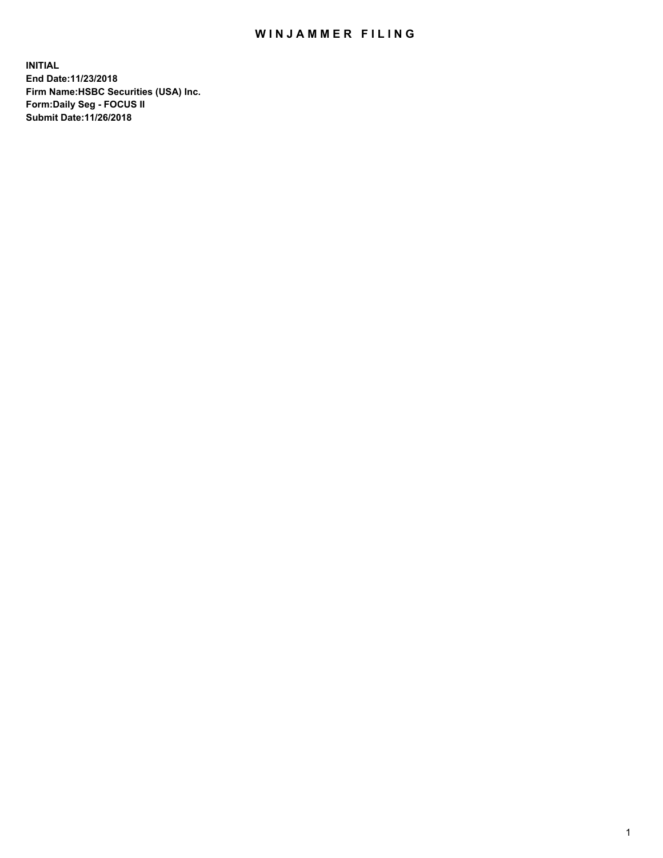## WIN JAMMER FILING

**INITIAL End Date:11/23/2018 Firm Name:HSBC Securities (USA) Inc. Form:Daily Seg - FOCUS II Submit Date:11/26/2018**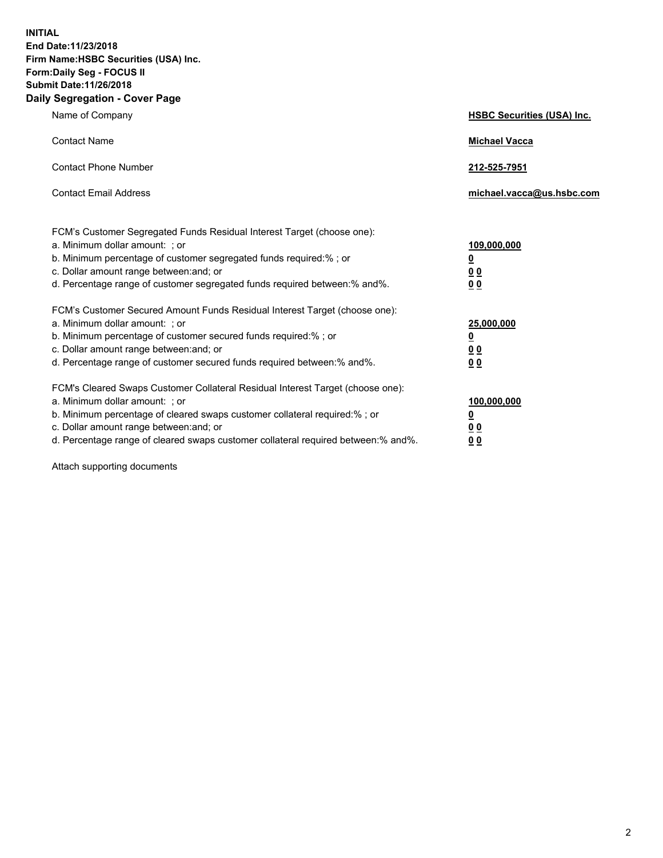**INITIAL End Date:11/23/2018 Firm Name:HSBC Securities (USA) Inc. Form:Daily Seg - FOCUS II Submit Date:11/26/2018 Daily Segregation - Cover Page**

| Name of Company                                                                                                                                                                                                                                                                                                                | <b>HSBC Securities (USA) Inc.</b>                                          |
|--------------------------------------------------------------------------------------------------------------------------------------------------------------------------------------------------------------------------------------------------------------------------------------------------------------------------------|----------------------------------------------------------------------------|
| <b>Contact Name</b>                                                                                                                                                                                                                                                                                                            | <b>Michael Vacca</b>                                                       |
| <b>Contact Phone Number</b>                                                                                                                                                                                                                                                                                                    | 212-525-7951                                                               |
| <b>Contact Email Address</b>                                                                                                                                                                                                                                                                                                   | michael.vacca@us.hsbc.com                                                  |
| FCM's Customer Segregated Funds Residual Interest Target (choose one):<br>a. Minimum dollar amount: : or<br>b. Minimum percentage of customer segregated funds required:% ; or<br>c. Dollar amount range between: and; or<br>d. Percentage range of customer segregated funds required between:% and%.                         | 109,000,000<br>$\overline{\mathbf{0}}$<br>0 <sub>0</sub><br>0 <sub>0</sub> |
| FCM's Customer Secured Amount Funds Residual Interest Target (choose one):<br>a. Minimum dollar amount: ; or<br>b. Minimum percentage of customer secured funds required:%; or<br>c. Dollar amount range between: and; or<br>d. Percentage range of customer secured funds required between:% and%.                            | 25,000,000<br><u>0</u><br>0 <sub>0</sub><br>00                             |
| FCM's Cleared Swaps Customer Collateral Residual Interest Target (choose one):<br>a. Minimum dollar amount: ; or<br>b. Minimum percentage of cleared swaps customer collateral required:% ; or<br>c. Dollar amount range between: and; or<br>d. Percentage range of cleared swaps customer collateral required between:% and%. | 100,000,000<br><u>0</u><br>00<br>0 <sub>0</sub>                            |

Attach supporting documents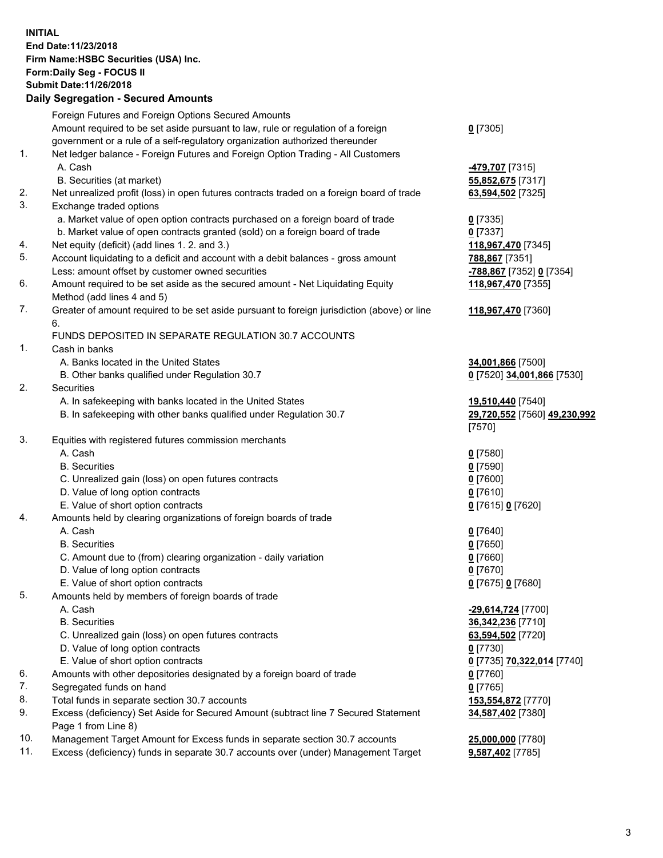**INITIAL End Date:11/23/2018 Firm Name:HSBC Securities (USA) Inc. Form:Daily Seg - FOCUS II Submit Date:11/26/2018 Daily Segregation - Secured Amounts** Foreign Futures and Foreign Options Secured Amounts Amount required to be set aside pursuant to law, rule or regulation of a foreign government or a rule of a self-regulatory organization authorized thereunder **0** [7305] 1. Net ledger balance - Foreign Futures and Foreign Option Trading - All Customers A. Cash **-479,707** [7315] B. Securities (at market) **55,852,675** [7317] 2. Net unrealized profit (loss) in open futures contracts traded on a foreign board of trade **63,594,502** [7325] 3. Exchange traded options a. Market value of open option contracts purchased on a foreign board of trade **0** [7335] b. Market value of open contracts granted (sold) on a foreign board of trade **0** [7337] 4. Net equity (deficit) (add lines 1. 2. and 3.) **118,967,470** [7345] 5. Account liquidating to a deficit and account with a debit balances - gross amount **788,867** [7351] Less: amount offset by customer owned securities **-788,867** [7352] **0** [7354] 6. Amount required to be set aside as the secured amount - Net Liquidating Equity Method (add lines 4 and 5) **118,967,470** [7355] 7. Greater of amount required to be set aside pursuant to foreign jurisdiction (above) or line 6. **118,967,470** [7360] FUNDS DEPOSITED IN SEPARATE REGULATION 30.7 ACCOUNTS 1. Cash in banks A. Banks located in the United States **34,001,866** [7500] B. Other banks qualified under Regulation 30.7 **0** [7520] **34,001,866** [7530] 2. Securities A. In safekeeping with banks located in the United States **19,510,440** [7540] B. In safekeeping with other banks qualified under Regulation 30.7 **29,720,552** [7560] **49,230,992** [7570] 3. Equities with registered futures commission merchants A. Cash **0** [7580] B. Securities **0** [7590] C. Unrealized gain (loss) on open futures contracts **0** [7600] D. Value of long option contracts **0** [7610] E. Value of short option contracts **0** [7615] **0** [7620] 4. Amounts held by clearing organizations of foreign boards of trade A. Cash **0** [7640] B. Securities **0** [7650] C. Amount due to (from) clearing organization - daily variation **0** [7660] D. Value of long option contracts **0** [7670] E. Value of short option contracts **0** [7675] **0** [7680] 5. Amounts held by members of foreign boards of trade A. Cash **-29,614,724** [7700] B. Securities **36,342,236** [7710] C. Unrealized gain (loss) on open futures contracts **63,594,502** [7720] D. Value of long option contracts **0** [7730] E. Value of short option contracts **0** [7735] **70,322,014** [7740] 6. Amounts with other depositories designated by a foreign board of trade **0** [7760] 7. Segregated funds on hand **0** [7765] 8. Total funds in separate section 30.7 accounts **153,554,872** [7770] 9. Excess (deficiency) Set Aside for Secured Amount (subtract line 7 Secured Statement **34,587,402** [7380]

Page 1 from Line 8)

10. Management Target Amount for Excess funds in separate section 30.7 accounts **25,000,000** [7780] 11. Excess (deficiency) funds in separate 30.7 accounts over (under) Management Target **9,587,402** [7785]

3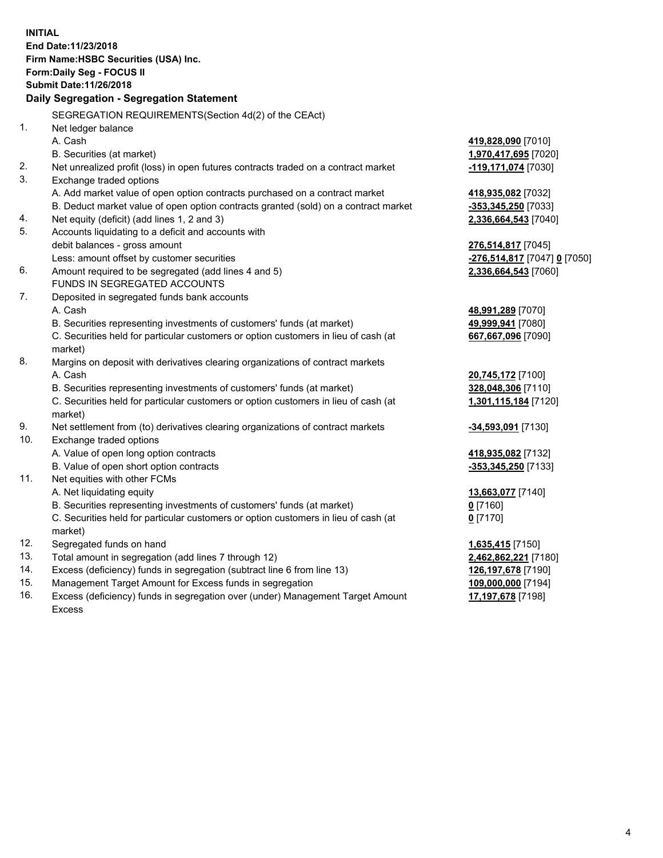|     | <b>INITIAL</b><br>End Date:11/23/2018<br>Firm Name: HSBC Securities (USA) Inc.<br><b>Form:Daily Seg - FOCUS II</b><br><b>Submit Date: 11/26/2018</b><br>Daily Segregation - Segregation Statement |                                                        |
|-----|---------------------------------------------------------------------------------------------------------------------------------------------------------------------------------------------------|--------------------------------------------------------|
|     | SEGREGATION REQUIREMENTS (Section 4d(2) of the CEAct)                                                                                                                                             |                                                        |
| 1.  | Net ledger balance                                                                                                                                                                                |                                                        |
|     | A. Cash                                                                                                                                                                                           | 419,828,090 [7010]                                     |
|     | B. Securities (at market)                                                                                                                                                                         | 1,970,417,695 [7020]                                   |
| 2.  | Net unrealized profit (loss) in open futures contracts traded on a contract market                                                                                                                | -119,171,074 [7030]                                    |
| 3.  | Exchange traded options                                                                                                                                                                           |                                                        |
|     | A. Add market value of open option contracts purchased on a contract market                                                                                                                       | 418,935,082 [7032]                                     |
|     | B. Deduct market value of open option contracts granted (sold) on a contract market                                                                                                               | <u>-353,345,250</u> [7033]                             |
| 4.  | Net equity (deficit) (add lines 1, 2 and 3)                                                                                                                                                       | 2,336,664,543 [7040]                                   |
| 5.  | Accounts liquidating to a deficit and accounts with                                                                                                                                               |                                                        |
|     | debit balances - gross amount                                                                                                                                                                     | <u>276,514,817</u> [7045]                              |
|     | Less: amount offset by customer securities                                                                                                                                                        | <mark>-276,514,817</mark> [7047] <mark>0</mark> [7050] |
| 6.  | Amount required to be segregated (add lines 4 and 5)                                                                                                                                              | 2,336,664,543 [7060]                                   |
|     | FUNDS IN SEGREGATED ACCOUNTS                                                                                                                                                                      |                                                        |
| 7.  | Deposited in segregated funds bank accounts                                                                                                                                                       |                                                        |
|     | A. Cash                                                                                                                                                                                           | <u>48,991,289</u> [7070]                               |
|     | B. Securities representing investments of customers' funds (at market)                                                                                                                            | 49,999,941 [7080]                                      |
|     | C. Securities held for particular customers or option customers in lieu of cash (at<br>market)                                                                                                    | 667,667,096 [7090]                                     |
| 8.  | Margins on deposit with derivatives clearing organizations of contract markets                                                                                                                    |                                                        |
|     | A. Cash                                                                                                                                                                                           | 20,745,172 [7100]                                      |
|     | B. Securities representing investments of customers' funds (at market)                                                                                                                            | 328,048,306 [7110]                                     |
|     | C. Securities held for particular customers or option customers in lieu of cash (at<br>market)                                                                                                    | 1,301,115,184 [7120]                                   |
| 9.  | Net settlement from (to) derivatives clearing organizations of contract markets                                                                                                                   | <u>-<b>34,593,091</b> [</u> 7130]                      |
| 10. | Exchange traded options                                                                                                                                                                           |                                                        |
|     | A. Value of open long option contracts                                                                                                                                                            | 418,935,082 [7132]                                     |
|     | B. Value of open short option contracts                                                                                                                                                           | -353,345,250 [7133]                                    |
| 11. | Net equities with other FCMs                                                                                                                                                                      |                                                        |
|     | A. Net liquidating equity                                                                                                                                                                         | 13,663,077 [7140]                                      |
|     | B. Securities representing investments of customers' funds (at market)                                                                                                                            | 0 <sup>[7160]</sup>                                    |
|     | C. Securities held for particular customers or option customers in lieu of cash (at                                                                                                               | $0$ [7170]                                             |
|     | market)                                                                                                                                                                                           |                                                        |
| 12. | Segregated funds on hand                                                                                                                                                                          | 1,635,415 [7150]                                       |
| 13. | Total amount in segregation (add lines 7 through 12)                                                                                                                                              | 2,462,862,221 [7180]                                   |
| 14. | Excess (deficiency) funds in segregation (subtract line 6 from line 13)                                                                                                                           | 126,197,678 [7190]                                     |
| 15. | Management Target Amount for Excess funds in segregation                                                                                                                                          | 109,000,000 [7194]                                     |

16. Excess (deficiency) funds in segregation over (under) Management Target Amount Excess

**17,197,678** [7198]